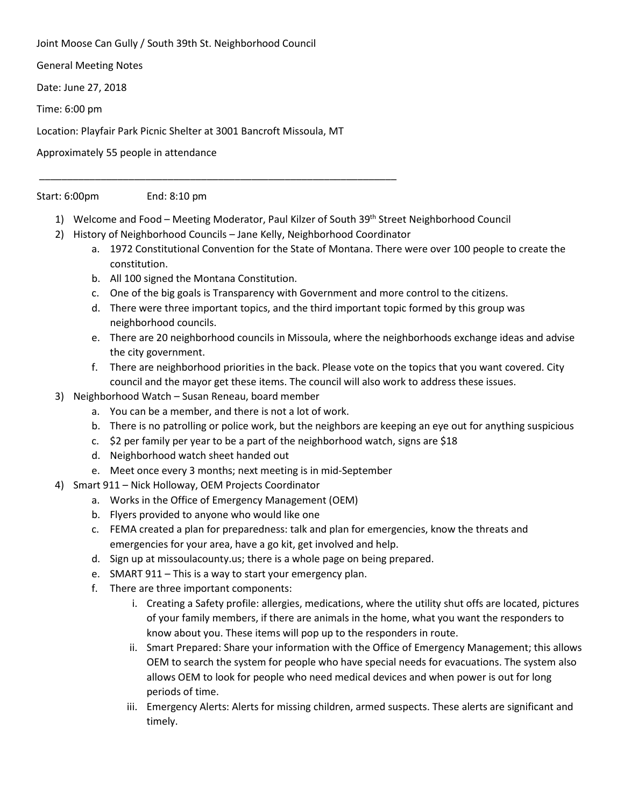Joint Moose Can Gully / South 39th St. Neighborhood Council

General Meeting Notes

Date: June 27, 2018

Time: 6:00 pm

Location: Playfair Park Picnic Shelter at 3001 Bancroft Missoula, MT

Approximately 55 people in attendance

## Start: 6:00pm End: 8:10 pm

- 1) Welcome and Food Meeting Moderator, Paul Kilzer of South 39th Street Neighborhood Council
- 2) History of Neighborhood Councils Jane Kelly, Neighborhood Coordinator

\_\_\_\_\_\_\_\_\_\_\_\_\_\_\_\_\_\_\_\_\_\_\_\_\_\_\_\_\_\_\_\_\_\_\_\_\_\_\_\_\_\_\_\_\_\_\_\_\_\_\_\_\_\_\_\_\_\_\_\_\_\_\_\_

- a. 1972 Constitutional Convention for the State of Montana. There were over 100 people to create the constitution.
	- b. All 100 signed the Montana Constitution.
	- c. One of the big goals is Transparency with Government and more control to the citizens.
	- d. There were three important topics, and the third important topic formed by this group was neighborhood councils.
	- e. There are 20 neighborhood councils in Missoula, where the neighborhoods exchange ideas and advise the city government.
	- f. There are neighborhood priorities in the back. Please vote on the topics that you want covered. City council and the mayor get these items. The council will also work to address these issues.
- 3) Neighborhood Watch Susan Reneau, board member
	- a. You can be a member, and there is not a lot of work.
	- b. There is no patrolling or police work, but the neighbors are keeping an eye out for anything suspicious
	- c. \$2 per family per year to be a part of the neighborhood watch, signs are \$18
	- d. Neighborhood watch sheet handed out
	- e. Meet once every 3 months; next meeting is in mid-September
- 4) Smart 911 Nick Holloway, OEM Projects Coordinator
	- a. Works in the Office of Emergency Management (OEM)
	- b. Flyers provided to anyone who would like one
	- c. FEMA created a plan for preparedness: talk and plan for emergencies, know the threats and emergencies for your area, have a go kit, get involved and help.
	- d. Sign up at missoulacounty.us; there is a whole page on being prepared.
	- e. SMART 911 This is a way to start your emergency plan.
	- f. There are three important components:
		- i. Creating a Safety profile: allergies, medications, where the utility shut offs are located, pictures of your family members, if there are animals in the home, what you want the responders to know about you. These items will pop up to the responders in route.
		- ii. Smart Prepared: Share your information with the Office of Emergency Management; this allows OEM to search the system for people who have special needs for evacuations. The system also allows OEM to look for people who need medical devices and when power is out for long periods of time.
		- iii. Emergency Alerts: Alerts for missing children, armed suspects. These alerts are significant and timely.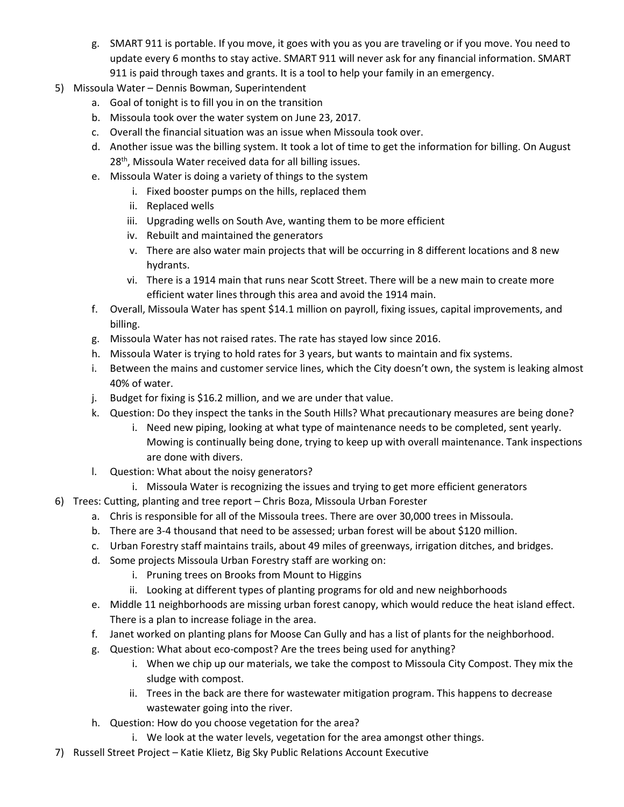- g. SMART 911 is portable. If you move, it goes with you as you are traveling or if you move. You need to update every 6 months to stay active. SMART 911 will never ask for any financial information. SMART 911 is paid through taxes and grants. It is a tool to help your family in an emergency.
- 5) Missoula Water Dennis Bowman, Superintendent
	- a. Goal of tonight is to fill you in on the transition
	- b. Missoula took over the water system on June 23, 2017.
	- c. Overall the financial situation was an issue when Missoula took over.
	- d. Another issue was the billing system. It took a lot of time to get the information for billing. On August 28<sup>th</sup>, Missoula Water received data for all billing issues.
	- e. Missoula Water is doing a variety of things to the system
		- i. Fixed booster pumps on the hills, replaced them
		- ii. Replaced wells
		- iii. Upgrading wells on South Ave, wanting them to be more efficient
		- iv. Rebuilt and maintained the generators
		- v. There are also water main projects that will be occurring in 8 different locations and 8 new hydrants.
		- vi. There is a 1914 main that runs near Scott Street. There will be a new main to create more efficient water lines through this area and avoid the 1914 main.
	- f. Overall, Missoula Water has spent \$14.1 million on payroll, fixing issues, capital improvements, and billing.
	- g. Missoula Water has not raised rates. The rate has stayed low since 2016.
	- h. Missoula Water is trying to hold rates for 3 years, but wants to maintain and fix systems.
	- i. Between the mains and customer service lines, which the City doesn't own, the system is leaking almost 40% of water.
	- j. Budget for fixing is \$16.2 million, and we are under that value.
	- k. Question: Do they inspect the tanks in the South Hills? What precautionary measures are being done?
		- i. Need new piping, looking at what type of maintenance needs to be completed, sent yearly. Mowing is continually being done, trying to keep up with overall maintenance. Tank inspections are done with divers.
	- l. Question: What about the noisy generators?
		- i. Missoula Water is recognizing the issues and trying to get more efficient generators
- 6) Trees: Cutting, planting and tree report Chris Boza, Missoula Urban Forester
	- a. Chris is responsible for all of the Missoula trees. There are over 30,000 trees in Missoula.
	- b. There are 3-4 thousand that need to be assessed; urban forest will be about \$120 million.
	- c. Urban Forestry staff maintains trails, about 49 miles of greenways, irrigation ditches, and bridges.
	- d. Some projects Missoula Urban Forestry staff are working on:
		- i. Pruning trees on Brooks from Mount to Higgins
		- ii. Looking at different types of planting programs for old and new neighborhoods
	- e. Middle 11 neighborhoods are missing urban forest canopy, which would reduce the heat island effect. There is a plan to increase foliage in the area.
	- f. Janet worked on planting plans for Moose Can Gully and has a list of plants for the neighborhood.
	- g. Question: What about eco-compost? Are the trees being used for anything?
		- i. When we chip up our materials, we take the compost to Missoula City Compost. They mix the sludge with compost.
		- ii. Trees in the back are there for wastewater mitigation program. This happens to decrease wastewater going into the river.
	- h. Question: How do you choose vegetation for the area?
		- i. We look at the water levels, vegetation for the area amongst other things.
- 7) Russell Street Project Katie Klietz, Big Sky Public Relations Account Executive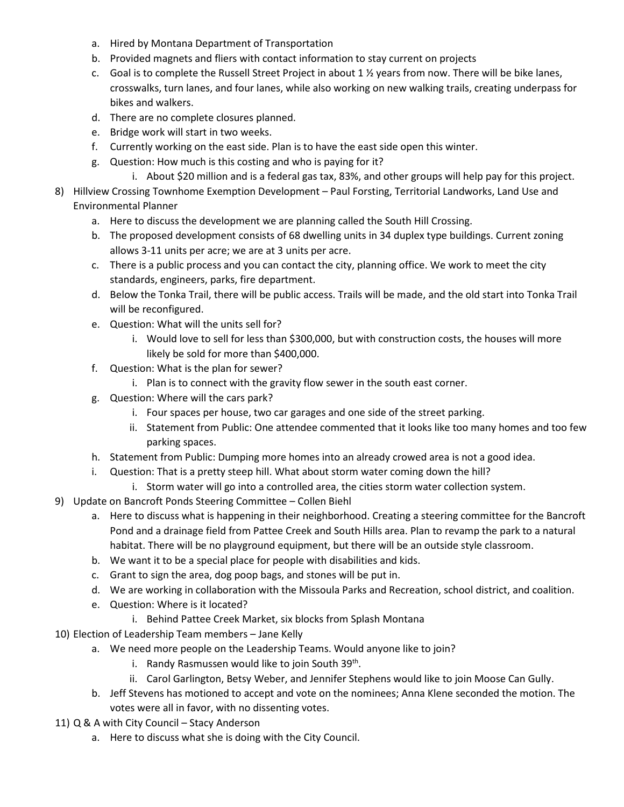- a. Hired by Montana Department of Transportation
- b. Provided magnets and fliers with contact information to stay current on projects
- c. Goal is to complete the Russell Street Project in about 1  $\frac{1}{2}$  years from now. There will be bike lanes, crosswalks, turn lanes, and four lanes, while also working on new walking trails, creating underpass for bikes and walkers.
- d. There are no complete closures planned.
- e. Bridge work will start in two weeks.
- f. Currently working on the east side. Plan is to have the east side open this winter.
- g. Question: How much is this costing and who is paying for it?
	- i. About \$20 million and is a federal gas tax, 83%, and other groups will help pay for this project.
- 8) Hillview Crossing Townhome Exemption Development Paul Forsting, Territorial Landworks, Land Use and Environmental Planner
	- a. Here to discuss the development we are planning called the South Hill Crossing.
	- b. The proposed development consists of 68 dwelling units in 34 duplex type buildings. Current zoning allows 3-11 units per acre; we are at 3 units per acre.
	- c. There is a public process and you can contact the city, planning office. We work to meet the city standards, engineers, parks, fire department.
	- d. Below the Tonka Trail, there will be public access. Trails will be made, and the old start into Tonka Trail will be reconfigured.
	- e. Question: What will the units sell for?
		- i. Would love to sell for less than \$300,000, but with construction costs, the houses will more likely be sold for more than \$400,000.
	- f. Question: What is the plan for sewer?
		- i. Plan is to connect with the gravity flow sewer in the south east corner.
	- g. Question: Where will the cars park?
		- i. Four spaces per house, two car garages and one side of the street parking.
		- ii. Statement from Public: One attendee commented that it looks like too many homes and too few parking spaces.
	- h. Statement from Public: Dumping more homes into an already crowed area is not a good idea.
	- i. Question: That is a pretty steep hill. What about storm water coming down the hill?
		- i. Storm water will go into a controlled area, the cities storm water collection system.
- 9) Update on Bancroft Ponds Steering Committee Collen Biehl
	- a. Here to discuss what is happening in their neighborhood. Creating a steering committee for the Bancroft Pond and a drainage field from Pattee Creek and South Hills area. Plan to revamp the park to a natural habitat. There will be no playground equipment, but there will be an outside style classroom.
	- b. We want it to be a special place for people with disabilities and kids.
	- c. Grant to sign the area, dog poop bags, and stones will be put in.
	- d. We are working in collaboration with the Missoula Parks and Recreation, school district, and coalition.
	- e. Question: Where is it located?
		- i. Behind Pattee Creek Market, six blocks from Splash Montana
- 10) Election of Leadership Team members Jane Kelly
	- a. We need more people on the Leadership Teams. Would anyone like to join?
		- i. Randy Rasmussen would like to join South  $39<sup>th</sup>$ .
		- ii. Carol Garlington, Betsy Weber, and Jennifer Stephens would like to join Moose Can Gully.
	- b. Jeff Stevens has motioned to accept and vote on the nominees; Anna Klene seconded the motion. The votes were all in favor, with no dissenting votes.
- 11) Q & A with City Council Stacy Anderson
	- a. Here to discuss what she is doing with the City Council.